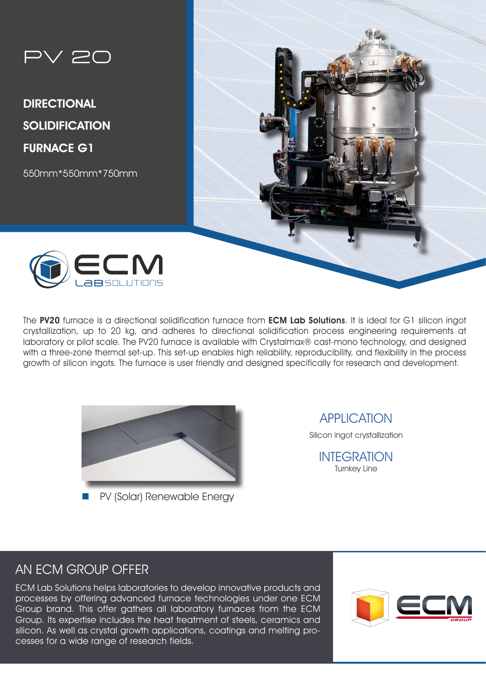

DIRECTIONAL **SOLIDIFICATION** FURNACE G1

550mm\*550mm\*750mm

ECM



The PV20 furnace is a directional solidification furnace from ECM Lab Solutions. It is ideal for G1 silicon ingot crystallization, up to 20 kg, and adheres to directional solidification process engineering requirements at laboratory or pilot scale. The PV20 furnace is available with Crystalmax® cast-mono technology, and designed with a three-zone thermal set-up. This set-up enables high reliability, reproducibility, and flexibility in the process growth of silicon ingots. The furnace is user friendly and designed specifically for research and development.



PV (Solar) Renewable Energy

APPLICATION

Silicon ingot crystallization

INTEGRATION Turnkey Line

# AN ECM GROUP OFFER

ECM Lab Solutions helps laboratories to develop innovative products and processes by offering advanced furnace technologies under one ECM Group brand. This offer gathers all laboratory furnaces from the ECM Group. Its expertise includes the heat treatment of steels, ceramics and silicon. As well as crystal growth applications, coatings and melting processes for a wide range of research fields.